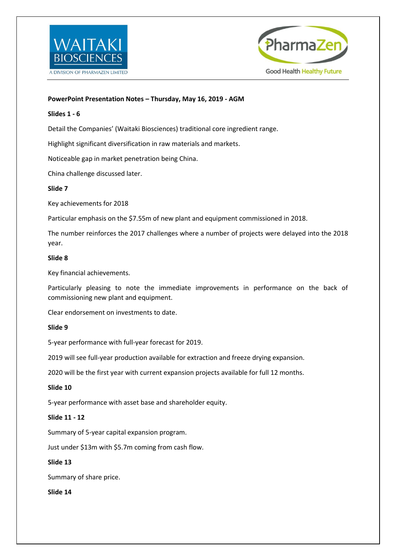



# **PowerPoint Presentation Notes – Thursday, May 16, 2019 - AGM**

## **Slides 1 - 6**

Detail the Companies' (Waitaki Biosciences) traditional core ingredient range.

Highlight significant diversification in raw materials and markets.

Noticeable gap in market penetration being China.

China challenge discussed later.

## **Slide 7**

Key achievements for 2018

Particular emphasis on the \$7.55m of new plant and equipment commissioned in 2018.

The number reinforces the 2017 challenges where a number of projects were delayed into the 2018 year.

## **Slide 8**

Key financial achievements.

Particularly pleasing to note the immediate improvements in performance on the back of commissioning new plant and equipment.

Clear endorsement on investments to date.

## **Slide 9**

5-year performance with full-year forecast for 2019.

2019 will see full-year production available for extraction and freeze drying expansion.

2020 will be the first year with current expansion projects available for full 12 months.

## **Slide 10**

5-year performance with asset base and shareholder equity.

## **Slide 11 - 12**

Summary of 5-year capital expansion program.

Just under \$13m with \$5.7m coming from cash flow.

## **Slide 13**

Summary of share price.

**Slide 14**